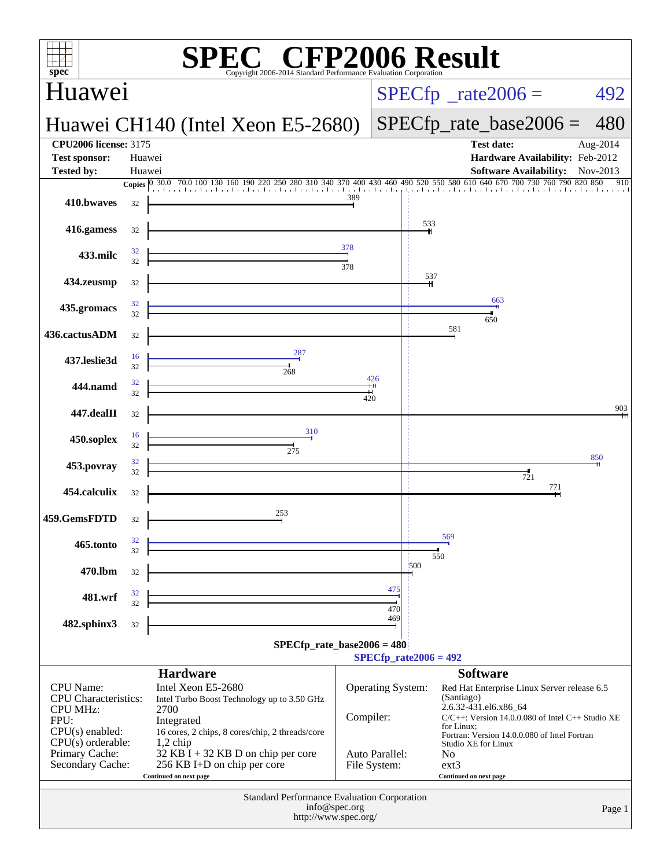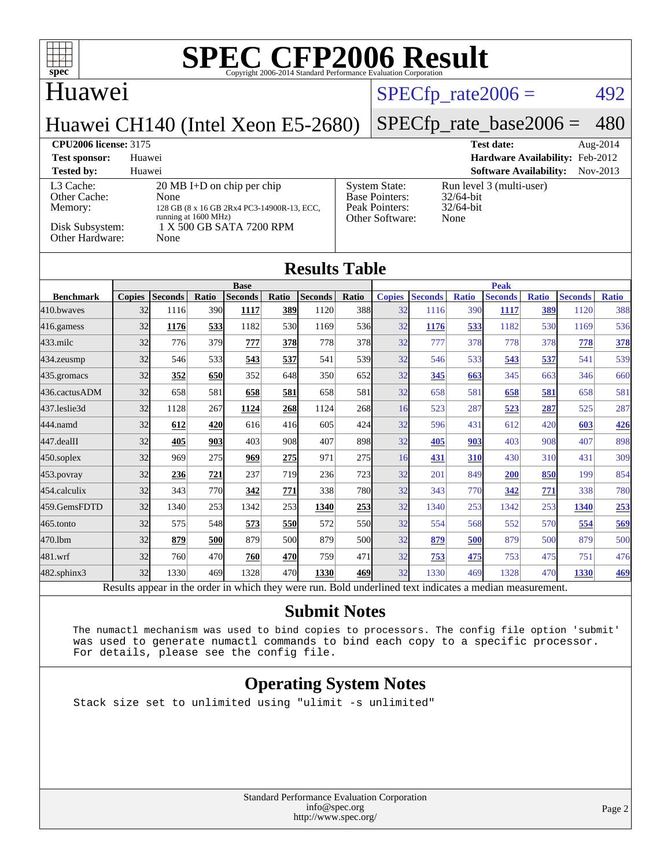# **Huawei**

### $SPECTp_rate2006 = 492$

## Huawei CH140 (Intel Xeon E5-2680)

# [SPECfp\\_rate\\_base2006 =](http://www.spec.org/auto/cpu2006/Docs/result-fields.html#SPECfpratebase2006) 480

**[CPU2006 license:](http://www.spec.org/auto/cpu2006/Docs/result-fields.html#CPU2006license)** 3175 **[Test date:](http://www.spec.org/auto/cpu2006/Docs/result-fields.html#Testdate)** Aug-2014 **[Test sponsor:](http://www.spec.org/auto/cpu2006/Docs/result-fields.html#Testsponsor)** Huawei **[Hardware Availability:](http://www.spec.org/auto/cpu2006/Docs/result-fields.html#HardwareAvailability)** Feb-2012 **[Tested by:](http://www.spec.org/auto/cpu2006/Docs/result-fields.html#Testedby)** Huawei **[Software Availability:](http://www.spec.org/auto/cpu2006/Docs/result-fields.html#SoftwareAvailability)** Nov-2013 [L3 Cache:](http://www.spec.org/auto/cpu2006/Docs/result-fields.html#L3Cache) 20 MB I+D on chip per chip<br>Other Cache: None [Other Cache:](http://www.spec.org/auto/cpu2006/Docs/result-fields.html#OtherCache) [Memory:](http://www.spec.org/auto/cpu2006/Docs/result-fields.html#Memory) 128 GB (8 x 16 GB 2Rx4 PC3-14900R-13, ECC, running at 1600 MHz) [Disk Subsystem:](http://www.spec.org/auto/cpu2006/Docs/result-fields.html#DiskSubsystem)  $1 \text{ X} \overline{500}$  GB SATA 7200 RPM<br>Other Hardware: None [Other Hardware:](http://www.spec.org/auto/cpu2006/Docs/result-fields.html#OtherHardware) [System State:](http://www.spec.org/auto/cpu2006/Docs/result-fields.html#SystemState) Run level 3 (multi-user)<br>Base Pointers:  $32/64$ -bit [Base Pointers:](http://www.spec.org/auto/cpu2006/Docs/result-fields.html#BasePointers) 32/64-bit<br>Peak Pointers: 32/64-bit [Peak Pointers:](http://www.spec.org/auto/cpu2006/Docs/result-fields.html#PeakPointers) [Other Software:](http://www.spec.org/auto/cpu2006/Docs/result-fields.html#OtherSoftware) None

# **[Results Table](http://www.spec.org/auto/cpu2006/Docs/result-fields.html#ResultsTable)**

|                   | <b>Base</b>   |                |       |                | <b>Peak</b> |                |            |               |                |              |                |              |                |              |
|-------------------|---------------|----------------|-------|----------------|-------------|----------------|------------|---------------|----------------|--------------|----------------|--------------|----------------|--------------|
| <b>Benchmark</b>  | <b>Copies</b> | <b>Seconds</b> | Ratio | <b>Seconds</b> | Ratio       | <b>Seconds</b> | Ratio      | <b>Copies</b> | <b>Seconds</b> | <b>Ratio</b> | <b>Seconds</b> | <b>Ratio</b> | <b>Seconds</b> | <b>Ratio</b> |
| 410.bwayes        | 32            | 1116           | 390l  | 1117           | <b>389</b>  | 1120           | 388        | 32            | 1116           | 390          | 1117           | 389          | 1120           | 388          |
| 416.gamess        | 32            | 1176           | 533   | 1182           | 530         | 1169           | 536        | 32            | 1176           | 533          | 1182           | 530          | 1169           | 536          |
| $433$ .milc       | 32            | 776            | 379   | 777            | <b>378</b>  | 778            | 378        | 32            | 777            | 378          | 778            | 378          | 778            | 378          |
| 434.zeusmp        | 32            | 546            | 533   | 543            | 537         | 541            | 539        | 32            | 546            | 533          | 543            | 537          | 541            | 539          |
| 435.gromacs       | 32            | 352            | 650   | 352            | 648         | 350            | 652        | 32            | 345            | 663          | 345            | 663          | 346            | 660          |
| 436.cactusADM     | 32            | 658            | 581   | 658            | 581         | 658            | 581        | 32            | 658            | 581          | 658            | 581          | 658            | 581          |
| 437.leslie3d      | 32            | 1128           | 267   | 1124           | 268         | 1124           | 268        | 16            | 523            | 287          | 523            | 287          | 525            | 287          |
| 444.namd          | 32            | 612            | 420   | 616            | 416         | 605            | 424        | 32            | 596            | 431          | 612            | 420          | 603            | <b>426</b>   |
| 447.dealII        | 32            | 405            | 9031  | 403            | 908         | 407            | 898        | 32            | 405            | 903          | 403            | 908          | 407            | 898          |
| $450$ .soplex     | 32            | 969            | 275   | 969            | 275         | 971            | 275        | 16            | 431            | 310          | 430            | 310          | 431            | 309          |
| $453$ .povray     | 32            | 236            | 721   | 237            | <b>719</b>  | 236            | 723        | 32            | 201            | 849          | 200            | 850          | 199            | 854          |
| 454.calculix      | 32            | 343            | 770   | 342            | 771         | 338            | 780        | 32            | 343            | 770          | 342            | 771          | 338            | 780          |
| 459.GemsFDTD      | 32            | 1340           | 253   | 1342           | 253         | 1340           | 253        | 32            | 1340           | 253          | 1342           | 253          | 1340           | 253          |
| 465.tonto         | 32            | 575            | 548   | 573            | 550         | 572            | 550        | 32            | 554            | 568          | 552            | 570          | 554            | 569          |
| 470.1bm           | 32            | 879            | 500   | 879            | 500l        | 879            | <b>500</b> | 32            | 879            | 500          | 879            | 500          | 879            | 500          |
| 481.wrf           | 32            | 760            | 470   | 760            | <b>470</b>  | 759            | 471        | 32            | <u>753</u>     | 475          | 753            | 475          | 751            | 476          |
| $482$ .sphinx $3$ | 32            | 1330           | 469   | 1328           | 470         | 1330           | 469        | 32            | 1330           | 469          | 1328           | 470          | 1330           | 469          |

Results appear in the [order in which they were run.](http://www.spec.org/auto/cpu2006/Docs/result-fields.html#RunOrder) Bold underlined text [indicates a median measurement.](http://www.spec.org/auto/cpu2006/Docs/result-fields.html#Median)

#### **[Submit Notes](http://www.spec.org/auto/cpu2006/Docs/result-fields.html#SubmitNotes)**

 The numactl mechanism was used to bind copies to processors. The config file option 'submit' was used to generate numactl commands to bind each copy to a specific processor. For details, please see the config file.

#### **[Operating System Notes](http://www.spec.org/auto/cpu2006/Docs/result-fields.html#OperatingSystemNotes)**

Stack size set to unlimited using "ulimit -s unlimited"

Standard Performance Evaluation Corporation [info@spec.org](mailto:info@spec.org) <http://www.spec.org/>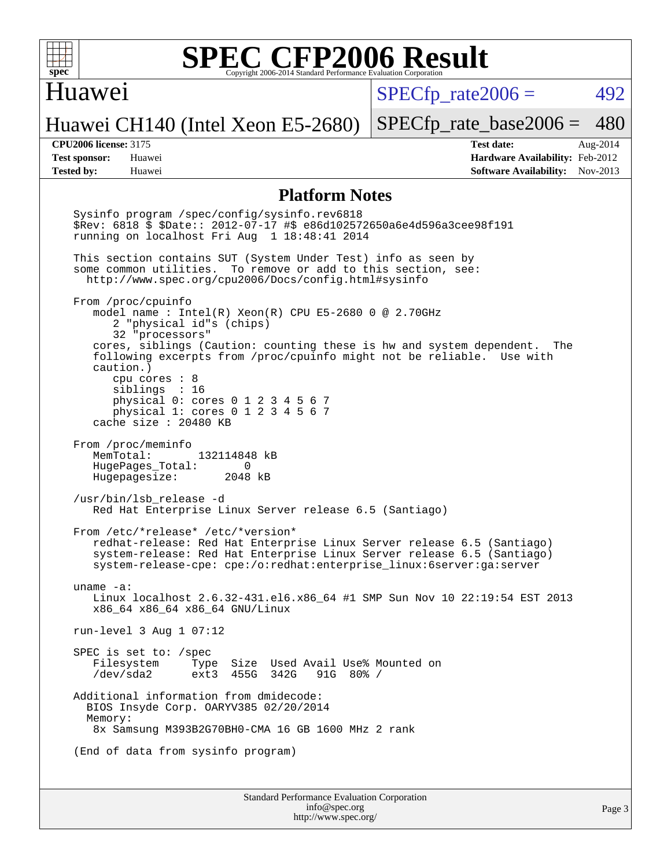

#### Huawei

 $SPECTp\_rate2006 = 492$ 

Page 3

Huawei CH140 (Intel Xeon E5-2680)

[SPECfp\\_rate\\_base2006 =](http://www.spec.org/auto/cpu2006/Docs/result-fields.html#SPECfpratebase2006) 480

**[CPU2006 license:](http://www.spec.org/auto/cpu2006/Docs/result-fields.html#CPU2006license)** 3175 **[Test date:](http://www.spec.org/auto/cpu2006/Docs/result-fields.html#Testdate)** Aug-2014 **[Test sponsor:](http://www.spec.org/auto/cpu2006/Docs/result-fields.html#Testsponsor)** Huawei **[Hardware Availability:](http://www.spec.org/auto/cpu2006/Docs/result-fields.html#HardwareAvailability)** Feb-2012 **[Tested by:](http://www.spec.org/auto/cpu2006/Docs/result-fields.html#Testedby)** Huawei **[Software Availability:](http://www.spec.org/auto/cpu2006/Docs/result-fields.html#SoftwareAvailability)** Nov-2013

#### **[Platform Notes](http://www.spec.org/auto/cpu2006/Docs/result-fields.html#PlatformNotes)**

Standard Performance Evaluation Corporation Sysinfo program /spec/config/sysinfo.rev6818 \$Rev: 6818 \$ \$Date:: 2012-07-17 #\$ e86d102572650a6e4d596a3cee98f191 running on localhost Fri Aug 1 18:48:41 2014 This section contains SUT (System Under Test) info as seen by some common utilities. To remove or add to this section, see: <http://www.spec.org/cpu2006/Docs/config.html#sysinfo> From /proc/cpuinfo model name : Intel(R) Xeon(R) CPU E5-2680 0 @ 2.70GHz 2 "physical id"s (chips) 32 "processors" cores, siblings (Caution: counting these is hw and system dependent. The following excerpts from /proc/cpuinfo might not be reliable. Use with caution.) cpu cores : 8 siblings : 16 physical 0: cores 0 1 2 3 4 5 6 7 physical 1: cores 0 1 2 3 4 5 6 7 cache size : 20480 KB From /proc/meminfo MemTotal: 132114848 kB HugePages\_Total: 0<br>Hugepagesize: 2048 kB Hugepagesize: /usr/bin/lsb\_release -d Red Hat Enterprise Linux Server release 6.5 (Santiago) From /etc/\*release\* /etc/\*version\* redhat-release: Red Hat Enterprise Linux Server release 6.5 (Santiago) system-release: Red Hat Enterprise Linux Server release 6.5 (Santiago) system-release-cpe: cpe:/o:redhat:enterprise\_linux:6server:ga:server uname -a: Linux localhost 2.6.32-431.el6.x86\_64 #1 SMP Sun Nov 10 22:19:54 EST 2013 x86\_64 x86\_64 x86\_64 GNU/Linux run-level 3 Aug 1 07:12 SPEC is set to: /spec Filesystem Type Size Used Avail Use% Mounted on<br>/dev/sda2 ext3 455G 342G 91G 80% / /dev/sda2 ext3 455G 342G 91G 80% / Additional information from dmidecode: BIOS Insyde Corp. OARYV385 02/20/2014 Memory: 8x Samsung M393B2G70BH0-CMA 16 GB 1600 MHz 2 rank (End of data from sysinfo program)

> [info@spec.org](mailto:info@spec.org) <http://www.spec.org/>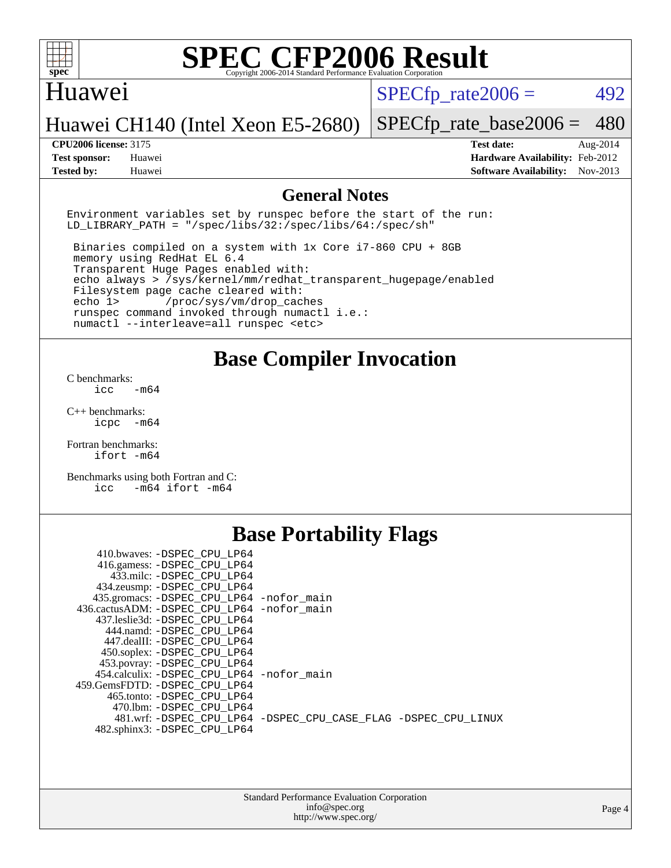

#### Huawei

 $SPECTp\_rate2006 = 492$ 

[SPECfp\\_rate\\_base2006 =](http://www.spec.org/auto/cpu2006/Docs/result-fields.html#SPECfpratebase2006) 480

### Huawei CH140 (Intel Xeon E5-2680)

**[Tested by:](http://www.spec.org/auto/cpu2006/Docs/result-fields.html#Testedby)** Huawei **[Software Availability:](http://www.spec.org/auto/cpu2006/Docs/result-fields.html#SoftwareAvailability)** Nov-2013

**[CPU2006 license:](http://www.spec.org/auto/cpu2006/Docs/result-fields.html#CPU2006license)** 3175 **[Test date:](http://www.spec.org/auto/cpu2006/Docs/result-fields.html#Testdate)** Aug-2014 **[Test sponsor:](http://www.spec.org/auto/cpu2006/Docs/result-fields.html#Testsponsor)** Huawei **[Hardware Availability:](http://www.spec.org/auto/cpu2006/Docs/result-fields.html#HardwareAvailability)** Feb-2012

#### **[General Notes](http://www.spec.org/auto/cpu2006/Docs/result-fields.html#GeneralNotes)**

Environment variables set by runspec before the start of the run: LD LIBRARY PATH = "/spec/libs/32:/spec/libs/64:/spec/sh"

 Binaries compiled on a system with 1x Core i7-860 CPU + 8GB memory using RedHat EL 6.4 Transparent Huge Pages enabled with: echo always > /sys/kernel/mm/redhat\_transparent\_hugepage/enabled Filesystem page cache cleared with: echo 1> /proc/sys/vm/drop\_caches runspec command invoked through numactl i.e.: numactl --interleave=all runspec <etc>

### **[Base Compiler Invocation](http://www.spec.org/auto/cpu2006/Docs/result-fields.html#BaseCompilerInvocation)**

[C benchmarks](http://www.spec.org/auto/cpu2006/Docs/result-fields.html#Cbenchmarks):  $\text{icc}$   $-\text{m64}$ 

[C++ benchmarks:](http://www.spec.org/auto/cpu2006/Docs/result-fields.html#CXXbenchmarks) [icpc -m64](http://www.spec.org/cpu2006/results/res2014q3/cpu2006-20140804-30751.flags.html#user_CXXbase_intel_icpc_64bit_bedb90c1146cab66620883ef4f41a67e)

[Fortran benchmarks](http://www.spec.org/auto/cpu2006/Docs/result-fields.html#Fortranbenchmarks): [ifort -m64](http://www.spec.org/cpu2006/results/res2014q3/cpu2006-20140804-30751.flags.html#user_FCbase_intel_ifort_64bit_ee9d0fb25645d0210d97eb0527dcc06e)

[Benchmarks using both Fortran and C](http://www.spec.org/auto/cpu2006/Docs/result-fields.html#BenchmarksusingbothFortranandC): [icc -m64](http://www.spec.org/cpu2006/results/res2014q3/cpu2006-20140804-30751.flags.html#user_CC_FCbase_intel_icc_64bit_0b7121f5ab7cfabee23d88897260401c) [ifort -m64](http://www.spec.org/cpu2006/results/res2014q3/cpu2006-20140804-30751.flags.html#user_CC_FCbase_intel_ifort_64bit_ee9d0fb25645d0210d97eb0527dcc06e)

## **[Base Portability Flags](http://www.spec.org/auto/cpu2006/Docs/result-fields.html#BasePortabilityFlags)**

| 410.bwaves: -DSPEC CPU LP64                 |                                                                |
|---------------------------------------------|----------------------------------------------------------------|
| 416.gamess: - DSPEC_CPU_LP64                |                                                                |
| 433.milc: -DSPEC CPU LP64                   |                                                                |
| 434.zeusmp: - DSPEC_CPU_LP64                |                                                                |
| 435.gromacs: -DSPEC_CPU_LP64 -nofor_main    |                                                                |
| 436.cactusADM: -DSPEC CPU LP64 -nofor main  |                                                                |
| 437.leslie3d: -DSPEC CPU LP64               |                                                                |
| 444.namd: - DSPEC_CPU_LP64                  |                                                                |
| 447.dealII: -DSPEC CPU LP64                 |                                                                |
| 450.soplex: -DSPEC_CPU_LP64                 |                                                                |
| 453.povray: -DSPEC_CPU_LP64                 |                                                                |
| 454.calculix: - DSPEC CPU LP64 - nofor main |                                                                |
| 459. GemsFDTD: - DSPEC CPU LP64             |                                                                |
| 465.tonto: - DSPEC CPU LP64                 |                                                                |
| 470.1bm: - DSPEC CPU LP64                   |                                                                |
|                                             | 481.wrf: -DSPEC CPU_LP64 -DSPEC_CPU_CASE_FLAG -DSPEC_CPU_LINUX |
| 482.sphinx3: -DSPEC CPU LP64                |                                                                |
|                                             |                                                                |

| <b>Standard Performance Evaluation Corporation</b> |
|----------------------------------------------------|
| info@spec.org                                      |
| http://www.spec.org/                               |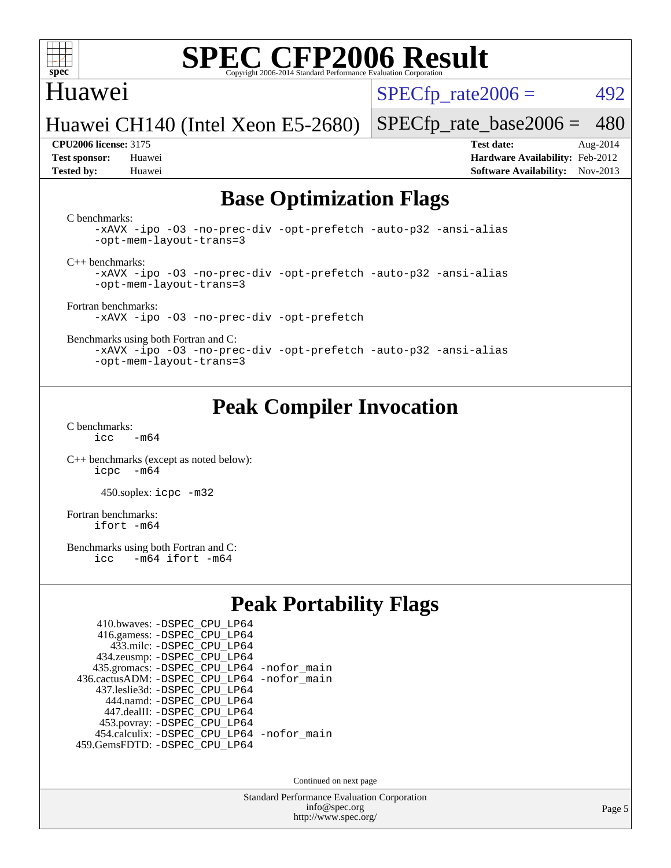

### Huawei

 $SPECTp\_rate2006 = 492$ 

Huawei CH140 (Intel Xeon E5-2680)

**[Test sponsor:](http://www.spec.org/auto/cpu2006/Docs/result-fields.html#Testsponsor)** Huawei **[Hardware Availability:](http://www.spec.org/auto/cpu2006/Docs/result-fields.html#HardwareAvailability)** Feb-2012 **[Tested by:](http://www.spec.org/auto/cpu2006/Docs/result-fields.html#Testedby)** Huawei **[Software Availability:](http://www.spec.org/auto/cpu2006/Docs/result-fields.html#SoftwareAvailability)** Nov-2013

[SPECfp\\_rate\\_base2006 =](http://www.spec.org/auto/cpu2006/Docs/result-fields.html#SPECfpratebase2006) 480 **[CPU2006 license:](http://www.spec.org/auto/cpu2006/Docs/result-fields.html#CPU2006license)** 3175 **[Test date:](http://www.spec.org/auto/cpu2006/Docs/result-fields.html#Testdate)** Aug-2014

## **[Base Optimization Flags](http://www.spec.org/auto/cpu2006/Docs/result-fields.html#BaseOptimizationFlags)**

[C benchmarks](http://www.spec.org/auto/cpu2006/Docs/result-fields.html#Cbenchmarks):

[-xAVX](http://www.spec.org/cpu2006/results/res2014q3/cpu2006-20140804-30751.flags.html#user_CCbase_f-xAVX) [-ipo](http://www.spec.org/cpu2006/results/res2014q3/cpu2006-20140804-30751.flags.html#user_CCbase_f-ipo) [-O3](http://www.spec.org/cpu2006/results/res2014q3/cpu2006-20140804-30751.flags.html#user_CCbase_f-O3) [-no-prec-div](http://www.spec.org/cpu2006/results/res2014q3/cpu2006-20140804-30751.flags.html#user_CCbase_f-no-prec-div) [-opt-prefetch](http://www.spec.org/cpu2006/results/res2014q3/cpu2006-20140804-30751.flags.html#user_CCbase_f-opt-prefetch) [-auto-p32](http://www.spec.org/cpu2006/results/res2014q3/cpu2006-20140804-30751.flags.html#user_CCbase_f-auto-p32) [-ansi-alias](http://www.spec.org/cpu2006/results/res2014q3/cpu2006-20140804-30751.flags.html#user_CCbase_f-ansi-alias) [-opt-mem-layout-trans=3](http://www.spec.org/cpu2006/results/res2014q3/cpu2006-20140804-30751.flags.html#user_CCbase_f-opt-mem-layout-trans_a7b82ad4bd7abf52556d4961a2ae94d5)

[C++ benchmarks:](http://www.spec.org/auto/cpu2006/Docs/result-fields.html#CXXbenchmarks)

[-xAVX](http://www.spec.org/cpu2006/results/res2014q3/cpu2006-20140804-30751.flags.html#user_CXXbase_f-xAVX) [-ipo](http://www.spec.org/cpu2006/results/res2014q3/cpu2006-20140804-30751.flags.html#user_CXXbase_f-ipo) [-O3](http://www.spec.org/cpu2006/results/res2014q3/cpu2006-20140804-30751.flags.html#user_CXXbase_f-O3) [-no-prec-div](http://www.spec.org/cpu2006/results/res2014q3/cpu2006-20140804-30751.flags.html#user_CXXbase_f-no-prec-div) [-opt-prefetch](http://www.spec.org/cpu2006/results/res2014q3/cpu2006-20140804-30751.flags.html#user_CXXbase_f-opt-prefetch) [-auto-p32](http://www.spec.org/cpu2006/results/res2014q3/cpu2006-20140804-30751.flags.html#user_CXXbase_f-auto-p32) [-ansi-alias](http://www.spec.org/cpu2006/results/res2014q3/cpu2006-20140804-30751.flags.html#user_CXXbase_f-ansi-alias) [-opt-mem-layout-trans=3](http://www.spec.org/cpu2006/results/res2014q3/cpu2006-20140804-30751.flags.html#user_CXXbase_f-opt-mem-layout-trans_a7b82ad4bd7abf52556d4961a2ae94d5)

[Fortran benchmarks](http://www.spec.org/auto/cpu2006/Docs/result-fields.html#Fortranbenchmarks): [-xAVX](http://www.spec.org/cpu2006/results/res2014q3/cpu2006-20140804-30751.flags.html#user_FCbase_f-xAVX) [-ipo](http://www.spec.org/cpu2006/results/res2014q3/cpu2006-20140804-30751.flags.html#user_FCbase_f-ipo) [-O3](http://www.spec.org/cpu2006/results/res2014q3/cpu2006-20140804-30751.flags.html#user_FCbase_f-O3) [-no-prec-div](http://www.spec.org/cpu2006/results/res2014q3/cpu2006-20140804-30751.flags.html#user_FCbase_f-no-prec-div) [-opt-prefetch](http://www.spec.org/cpu2006/results/res2014q3/cpu2006-20140804-30751.flags.html#user_FCbase_f-opt-prefetch)

[Benchmarks using both Fortran and C](http://www.spec.org/auto/cpu2006/Docs/result-fields.html#BenchmarksusingbothFortranandC):

[-xAVX](http://www.spec.org/cpu2006/results/res2014q3/cpu2006-20140804-30751.flags.html#user_CC_FCbase_f-xAVX) [-ipo](http://www.spec.org/cpu2006/results/res2014q3/cpu2006-20140804-30751.flags.html#user_CC_FCbase_f-ipo) [-O3](http://www.spec.org/cpu2006/results/res2014q3/cpu2006-20140804-30751.flags.html#user_CC_FCbase_f-O3) [-no-prec-div](http://www.spec.org/cpu2006/results/res2014q3/cpu2006-20140804-30751.flags.html#user_CC_FCbase_f-no-prec-div) [-opt-prefetch](http://www.spec.org/cpu2006/results/res2014q3/cpu2006-20140804-30751.flags.html#user_CC_FCbase_f-opt-prefetch) [-auto-p32](http://www.spec.org/cpu2006/results/res2014q3/cpu2006-20140804-30751.flags.html#user_CC_FCbase_f-auto-p32) [-ansi-alias](http://www.spec.org/cpu2006/results/res2014q3/cpu2006-20140804-30751.flags.html#user_CC_FCbase_f-ansi-alias) [-opt-mem-layout-trans=3](http://www.spec.org/cpu2006/results/res2014q3/cpu2006-20140804-30751.flags.html#user_CC_FCbase_f-opt-mem-layout-trans_a7b82ad4bd7abf52556d4961a2ae94d5)

## **[Peak Compiler Invocation](http://www.spec.org/auto/cpu2006/Docs/result-fields.html#PeakCompilerInvocation)**

[C benchmarks](http://www.spec.org/auto/cpu2006/Docs/result-fields.html#Cbenchmarks):  $icc$   $-m64$ 

[C++ benchmarks \(except as noted below\):](http://www.spec.org/auto/cpu2006/Docs/result-fields.html#CXXbenchmarksexceptasnotedbelow) [icpc -m64](http://www.spec.org/cpu2006/results/res2014q3/cpu2006-20140804-30751.flags.html#user_CXXpeak_intel_icpc_64bit_bedb90c1146cab66620883ef4f41a67e)

450.soplex: [icpc -m32](http://www.spec.org/cpu2006/results/res2014q3/cpu2006-20140804-30751.flags.html#user_peakCXXLD450_soplex_intel_icpc_4e5a5ef1a53fd332b3c49e69c3330699)

[Fortran benchmarks](http://www.spec.org/auto/cpu2006/Docs/result-fields.html#Fortranbenchmarks): [ifort -m64](http://www.spec.org/cpu2006/results/res2014q3/cpu2006-20140804-30751.flags.html#user_FCpeak_intel_ifort_64bit_ee9d0fb25645d0210d97eb0527dcc06e)

[Benchmarks using both Fortran and C](http://www.spec.org/auto/cpu2006/Docs/result-fields.html#BenchmarksusingbothFortranandC):<br>icc -m64 ifort -m64  $-m64$  ifort  $-m64$ 

## **[Peak Portability Flags](http://www.spec.org/auto/cpu2006/Docs/result-fields.html#PeakPortabilityFlags)**

| 410.bwaves: - DSPEC CPU LP64                |  |
|---------------------------------------------|--|
| 416.gamess: -DSPEC_CPU_LP64                 |  |
| 433.milc: - DSPEC_CPU LP64                  |  |
| 434.zeusmp: -DSPEC_CPU_LP64                 |  |
| 435.gromacs: -DSPEC_CPU_LP64 -nofor_main    |  |
| 436.cactusADM: -DSPEC CPU LP64 -nofor main  |  |
| 437.leslie3d: -DSPEC CPU LP64               |  |
| 444.namd: - DSPEC CPU LP64                  |  |
| 447.dealII: -DSPEC CPU LP64                 |  |
| 453.povray: -DSPEC_CPU_LP64                 |  |
| 454.calculix: - DSPEC CPU LP64 - nofor main |  |
| 459.GemsFDTD: - DSPEC_CPU_LP64              |  |

Continued on next page

Standard Performance Evaluation Corporation [info@spec.org](mailto:info@spec.org) <http://www.spec.org/>

Page 5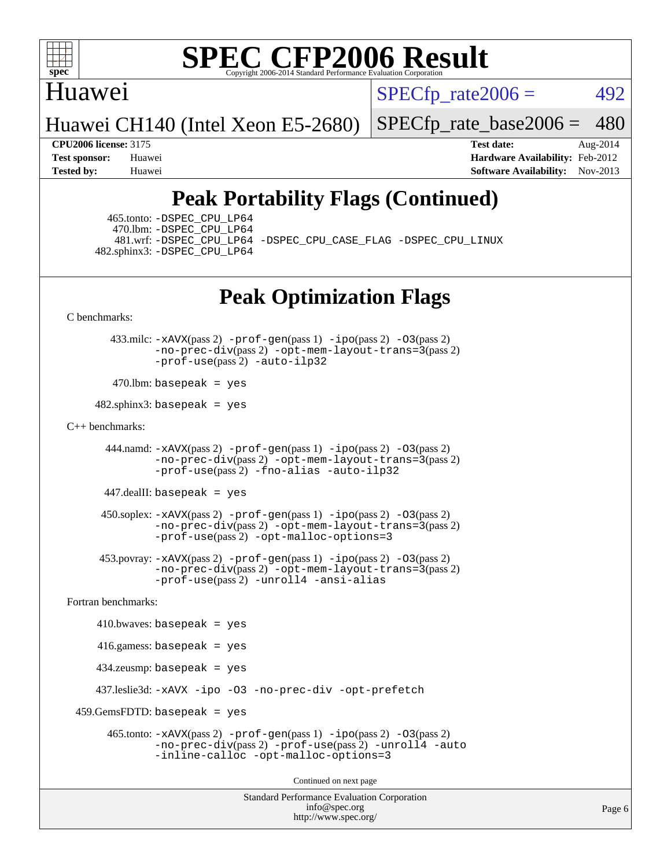

### Huawei

 $SPECTp\_rate2006 = 492$ 

Huawei CH140 (Intel Xeon E5-2680)

[SPECfp\\_rate\\_base2006 =](http://www.spec.org/auto/cpu2006/Docs/result-fields.html#SPECfpratebase2006) 480

**[CPU2006 license:](http://www.spec.org/auto/cpu2006/Docs/result-fields.html#CPU2006license)** 3175 **[Test date:](http://www.spec.org/auto/cpu2006/Docs/result-fields.html#Testdate)** Aug-2014 **[Test sponsor:](http://www.spec.org/auto/cpu2006/Docs/result-fields.html#Testsponsor)** Huawei **[Hardware Availability:](http://www.spec.org/auto/cpu2006/Docs/result-fields.html#HardwareAvailability)** Feb-2012 **[Tested by:](http://www.spec.org/auto/cpu2006/Docs/result-fields.html#Testedby)** Huawei **[Software Availability:](http://www.spec.org/auto/cpu2006/Docs/result-fields.html#SoftwareAvailability)** Nov-2013

# **[Peak Portability Flags \(Continued\)](http://www.spec.org/auto/cpu2006/Docs/result-fields.html#PeakPortabilityFlags)**

 465.tonto: [-DSPEC\\_CPU\\_LP64](http://www.spec.org/cpu2006/results/res2014q3/cpu2006-20140804-30751.flags.html#suite_peakPORTABILITY465_tonto_DSPEC_CPU_LP64) 470.lbm: [-DSPEC\\_CPU\\_LP64](http://www.spec.org/cpu2006/results/res2014q3/cpu2006-20140804-30751.flags.html#suite_peakPORTABILITY470_lbm_DSPEC_CPU_LP64) 482.sphinx3: [-DSPEC\\_CPU\\_LP64](http://www.spec.org/cpu2006/results/res2014q3/cpu2006-20140804-30751.flags.html#suite_peakPORTABILITY482_sphinx3_DSPEC_CPU_LP64)

481.wrf: [-DSPEC\\_CPU\\_LP64](http://www.spec.org/cpu2006/results/res2014q3/cpu2006-20140804-30751.flags.html#suite_peakPORTABILITY481_wrf_DSPEC_CPU_LP64) [-DSPEC\\_CPU\\_CASE\\_FLAG](http://www.spec.org/cpu2006/results/res2014q3/cpu2006-20140804-30751.flags.html#b481.wrf_peakCPORTABILITY_DSPEC_CPU_CASE_FLAG) [-DSPEC\\_CPU\\_LINUX](http://www.spec.org/cpu2006/results/res2014q3/cpu2006-20140804-30751.flags.html#b481.wrf_peakCPORTABILITY_DSPEC_CPU_LINUX)

# **[Peak Optimization Flags](http://www.spec.org/auto/cpu2006/Docs/result-fields.html#PeakOptimizationFlags)**

[C benchmarks](http://www.spec.org/auto/cpu2006/Docs/result-fields.html#Cbenchmarks):

 433.milc: [-xAVX](http://www.spec.org/cpu2006/results/res2014q3/cpu2006-20140804-30751.flags.html#user_peakPASS2_CFLAGSPASS2_LDFLAGS433_milc_f-xAVX)(pass 2) [-prof-gen](http://www.spec.org/cpu2006/results/res2014q3/cpu2006-20140804-30751.flags.html#user_peakPASS1_CFLAGSPASS1_LDFLAGS433_milc_prof_gen_e43856698f6ca7b7e442dfd80e94a8fc)(pass 1) [-ipo](http://www.spec.org/cpu2006/results/res2014q3/cpu2006-20140804-30751.flags.html#user_peakPASS2_CFLAGSPASS2_LDFLAGS433_milc_f-ipo)(pass 2) [-O3](http://www.spec.org/cpu2006/results/res2014q3/cpu2006-20140804-30751.flags.html#user_peakPASS2_CFLAGSPASS2_LDFLAGS433_milc_f-O3)(pass 2) [-no-prec-div](http://www.spec.org/cpu2006/results/res2014q3/cpu2006-20140804-30751.flags.html#user_peakPASS2_CFLAGSPASS2_LDFLAGS433_milc_f-no-prec-div)(pass 2) [-opt-mem-layout-trans=3](http://www.spec.org/cpu2006/results/res2014q3/cpu2006-20140804-30751.flags.html#user_peakPASS2_CFLAGS433_milc_f-opt-mem-layout-trans_a7b82ad4bd7abf52556d4961a2ae94d5)(pass 2) [-prof-use](http://www.spec.org/cpu2006/results/res2014q3/cpu2006-20140804-30751.flags.html#user_peakPASS2_CFLAGSPASS2_LDFLAGS433_milc_prof_use_bccf7792157ff70d64e32fe3e1250b55)(pass 2) [-auto-ilp32](http://www.spec.org/cpu2006/results/res2014q3/cpu2006-20140804-30751.flags.html#user_peakCOPTIMIZE433_milc_f-auto-ilp32)

 $470$ .lbm: basepeak = yes

 $482$ .sphinx3: basepeak = yes

#### [C++ benchmarks:](http://www.spec.org/auto/cpu2006/Docs/result-fields.html#CXXbenchmarks)

 444.namd: [-xAVX](http://www.spec.org/cpu2006/results/res2014q3/cpu2006-20140804-30751.flags.html#user_peakPASS2_CXXFLAGSPASS2_LDFLAGS444_namd_f-xAVX)(pass 2) [-prof-gen](http://www.spec.org/cpu2006/results/res2014q3/cpu2006-20140804-30751.flags.html#user_peakPASS1_CXXFLAGSPASS1_LDFLAGS444_namd_prof_gen_e43856698f6ca7b7e442dfd80e94a8fc)(pass 1) [-ipo](http://www.spec.org/cpu2006/results/res2014q3/cpu2006-20140804-30751.flags.html#user_peakPASS2_CXXFLAGSPASS2_LDFLAGS444_namd_f-ipo)(pass 2) [-O3](http://www.spec.org/cpu2006/results/res2014q3/cpu2006-20140804-30751.flags.html#user_peakPASS2_CXXFLAGSPASS2_LDFLAGS444_namd_f-O3)(pass 2) [-no-prec-div](http://www.spec.org/cpu2006/results/res2014q3/cpu2006-20140804-30751.flags.html#user_peakPASS2_CXXFLAGSPASS2_LDFLAGS444_namd_f-no-prec-div)(pass 2) [-opt-mem-layout-trans=3](http://www.spec.org/cpu2006/results/res2014q3/cpu2006-20140804-30751.flags.html#user_peakPASS2_CXXFLAGS444_namd_f-opt-mem-layout-trans_a7b82ad4bd7abf52556d4961a2ae94d5)(pass 2) [-prof-use](http://www.spec.org/cpu2006/results/res2014q3/cpu2006-20140804-30751.flags.html#user_peakPASS2_CXXFLAGSPASS2_LDFLAGS444_namd_prof_use_bccf7792157ff70d64e32fe3e1250b55)(pass 2) [-fno-alias](http://www.spec.org/cpu2006/results/res2014q3/cpu2006-20140804-30751.flags.html#user_peakCXXOPTIMIZE444_namd_f-no-alias_694e77f6c5a51e658e82ccff53a9e63a) [-auto-ilp32](http://www.spec.org/cpu2006/results/res2014q3/cpu2006-20140804-30751.flags.html#user_peakCXXOPTIMIZE444_namd_f-auto-ilp32)

447.dealII: basepeak = yes

 $450$ .soplex:  $-x$ AVX(pass 2)  $-p$ rof-gen(pass 1)  $-i$ po(pass 2)  $-03$ (pass 2) [-no-prec-div](http://www.spec.org/cpu2006/results/res2014q3/cpu2006-20140804-30751.flags.html#user_peakPASS2_CXXFLAGSPASS2_LDFLAGS450_soplex_f-no-prec-div)(pass 2) [-opt-mem-layout-trans=3](http://www.spec.org/cpu2006/results/res2014q3/cpu2006-20140804-30751.flags.html#user_peakPASS2_CXXFLAGS450_soplex_f-opt-mem-layout-trans_a7b82ad4bd7abf52556d4961a2ae94d5)(pass 2) [-prof-use](http://www.spec.org/cpu2006/results/res2014q3/cpu2006-20140804-30751.flags.html#user_peakPASS2_CXXFLAGSPASS2_LDFLAGS450_soplex_prof_use_bccf7792157ff70d64e32fe3e1250b55)(pass 2) [-opt-malloc-options=3](http://www.spec.org/cpu2006/results/res2014q3/cpu2006-20140804-30751.flags.html#user_peakOPTIMIZE450_soplex_f-opt-malloc-options_13ab9b803cf986b4ee62f0a5998c2238)

 453.povray: [-xAVX](http://www.spec.org/cpu2006/results/res2014q3/cpu2006-20140804-30751.flags.html#user_peakPASS2_CXXFLAGSPASS2_LDFLAGS453_povray_f-xAVX)(pass 2) [-prof-gen](http://www.spec.org/cpu2006/results/res2014q3/cpu2006-20140804-30751.flags.html#user_peakPASS1_CXXFLAGSPASS1_LDFLAGS453_povray_prof_gen_e43856698f6ca7b7e442dfd80e94a8fc)(pass 1) [-ipo](http://www.spec.org/cpu2006/results/res2014q3/cpu2006-20140804-30751.flags.html#user_peakPASS2_CXXFLAGSPASS2_LDFLAGS453_povray_f-ipo)(pass 2) [-O3](http://www.spec.org/cpu2006/results/res2014q3/cpu2006-20140804-30751.flags.html#user_peakPASS2_CXXFLAGSPASS2_LDFLAGS453_povray_f-O3)(pass 2) [-no-prec-div](http://www.spec.org/cpu2006/results/res2014q3/cpu2006-20140804-30751.flags.html#user_peakPASS2_CXXFLAGSPASS2_LDFLAGS453_povray_f-no-prec-div)(pass 2) [-opt-mem-layout-trans=3](http://www.spec.org/cpu2006/results/res2014q3/cpu2006-20140804-30751.flags.html#user_peakPASS2_CXXFLAGS453_povray_f-opt-mem-layout-trans_a7b82ad4bd7abf52556d4961a2ae94d5)(pass 2) [-prof-use](http://www.spec.org/cpu2006/results/res2014q3/cpu2006-20140804-30751.flags.html#user_peakPASS2_CXXFLAGSPASS2_LDFLAGS453_povray_prof_use_bccf7792157ff70d64e32fe3e1250b55)(pass 2) [-unroll4](http://www.spec.org/cpu2006/results/res2014q3/cpu2006-20140804-30751.flags.html#user_peakCXXOPTIMIZE453_povray_f-unroll_4e5e4ed65b7fd20bdcd365bec371b81f) [-ansi-alias](http://www.spec.org/cpu2006/results/res2014q3/cpu2006-20140804-30751.flags.html#user_peakCXXOPTIMIZE453_povray_f-ansi-alias)

[Fortran benchmarks](http://www.spec.org/auto/cpu2006/Docs/result-fields.html#Fortranbenchmarks):

 $410.bwaves: basepeak = yes$  416.gamess: basepeak = yes 434.zeusmp: basepeak = yes 437.leslie3d: [-xAVX](http://www.spec.org/cpu2006/results/res2014q3/cpu2006-20140804-30751.flags.html#user_peakOPTIMIZE437_leslie3d_f-xAVX) [-ipo](http://www.spec.org/cpu2006/results/res2014q3/cpu2006-20140804-30751.flags.html#user_peakOPTIMIZE437_leslie3d_f-ipo) [-O3](http://www.spec.org/cpu2006/results/res2014q3/cpu2006-20140804-30751.flags.html#user_peakOPTIMIZE437_leslie3d_f-O3) [-no-prec-div](http://www.spec.org/cpu2006/results/res2014q3/cpu2006-20140804-30751.flags.html#user_peakOPTIMIZE437_leslie3d_f-no-prec-div) [-opt-prefetch](http://www.spec.org/cpu2006/results/res2014q3/cpu2006-20140804-30751.flags.html#user_peakOPTIMIZE437_leslie3d_f-opt-prefetch)  $459.GemsFDTD: basepeak = yes$  465.tonto: [-xAVX](http://www.spec.org/cpu2006/results/res2014q3/cpu2006-20140804-30751.flags.html#user_peakPASS2_FFLAGSPASS2_LDFLAGS465_tonto_f-xAVX)(pass 2) [-prof-gen](http://www.spec.org/cpu2006/results/res2014q3/cpu2006-20140804-30751.flags.html#user_peakPASS1_FFLAGSPASS1_LDFLAGS465_tonto_prof_gen_e43856698f6ca7b7e442dfd80e94a8fc)(pass 1) [-ipo](http://www.spec.org/cpu2006/results/res2014q3/cpu2006-20140804-30751.flags.html#user_peakPASS2_FFLAGSPASS2_LDFLAGS465_tonto_f-ipo)(pass 2) [-O3](http://www.spec.org/cpu2006/results/res2014q3/cpu2006-20140804-30751.flags.html#user_peakPASS2_FFLAGSPASS2_LDFLAGS465_tonto_f-O3)(pass 2) [-no-prec-div](http://www.spec.org/cpu2006/results/res2014q3/cpu2006-20140804-30751.flags.html#user_peakPASS2_FFLAGSPASS2_LDFLAGS465_tonto_f-no-prec-div)(pass 2) [-prof-use](http://www.spec.org/cpu2006/results/res2014q3/cpu2006-20140804-30751.flags.html#user_peakPASS2_FFLAGSPASS2_LDFLAGS465_tonto_prof_use_bccf7792157ff70d64e32fe3e1250b55)(pass 2) [-unroll4](http://www.spec.org/cpu2006/results/res2014q3/cpu2006-20140804-30751.flags.html#user_peakOPTIMIZE465_tonto_f-unroll_4e5e4ed65b7fd20bdcd365bec371b81f) [-auto](http://www.spec.org/cpu2006/results/res2014q3/cpu2006-20140804-30751.flags.html#user_peakOPTIMIZE465_tonto_f-auto) [-inline-calloc](http://www.spec.org/cpu2006/results/res2014q3/cpu2006-20140804-30751.flags.html#user_peakOPTIMIZE465_tonto_f-inline-calloc) [-opt-malloc-options=3](http://www.spec.org/cpu2006/results/res2014q3/cpu2006-20140804-30751.flags.html#user_peakOPTIMIZE465_tonto_f-opt-malloc-options_13ab9b803cf986b4ee62f0a5998c2238) Continued on next page

> Standard Performance Evaluation Corporation [info@spec.org](mailto:info@spec.org) <http://www.spec.org/>